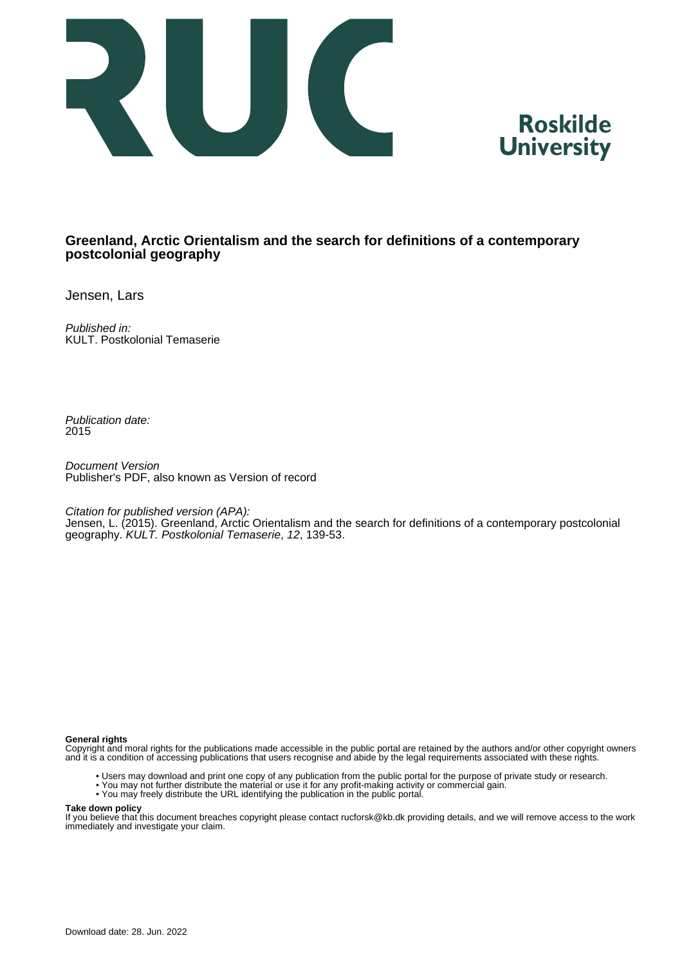



## **Greenland, Arctic Orientalism and the search for definitions of a contemporary postcolonial geography**

Jensen, Lars

Published in: KULT. Postkolonial Temaserie

Publication date: 2015

Document Version Publisher's PDF, also known as Version of record

Citation for published version (APA):

Jensen, L. (2015). Greenland, Arctic Orientalism and the search for definitions of a contemporary postcolonial geography. KULT. Postkolonial Temaserie, 12, 139-53.

#### **General rights**

Copyright and moral rights for the publications made accessible in the public portal are retained by the authors and/or other copyright owners and it is a condition of accessing publications that users recognise and abide by the legal requirements associated with these rights.

- Users may download and print one copy of any publication from the public portal for the purpose of private study or research.
- You may not further distribute the material or use it for any profit-making activity or commercial gain.
- You may freely distribute the URL identifying the publication in the public portal.

#### **Take down policy**

If you believe that this document breaches copyright please contact rucforsk@kb.dk providing details, and we will remove access to the work immediately and investigate your claim.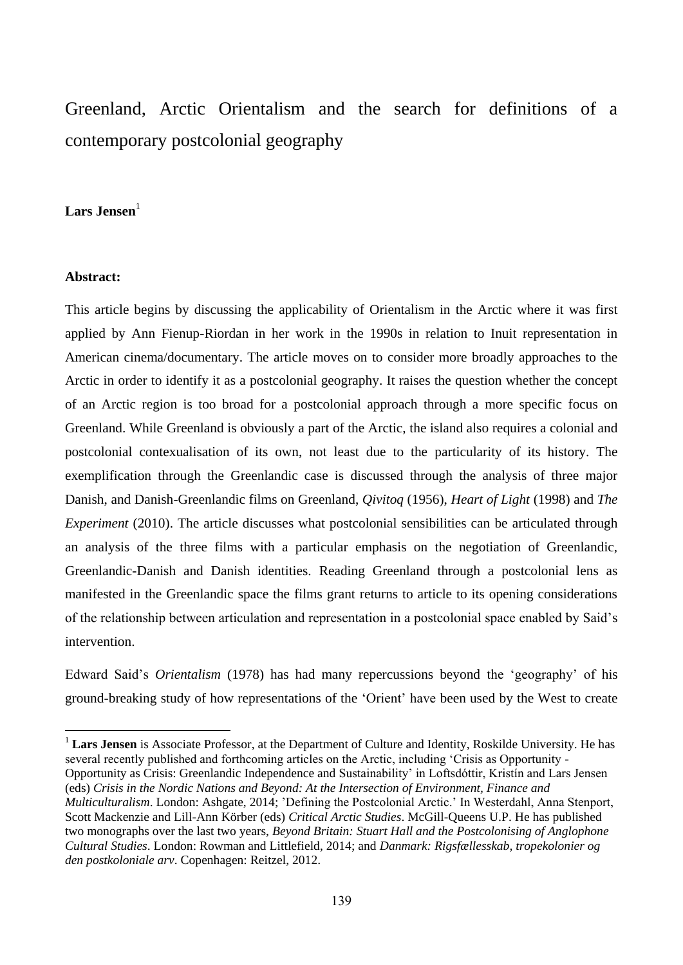# Greenland, Arctic Orientalism and the search for definitions of a contemporary postcolonial geography

## **Lars Jensen**<sup>1</sup>

#### **Abstract:**

 $\overline{a}$ 

This article begins by discussing the applicability of Orientalism in the Arctic where it was first applied by Ann Fienup-Riordan in her work in the 1990s in relation to Inuit representation in American cinema/documentary. The article moves on to consider more broadly approaches to the Arctic in order to identify it as a postcolonial geography. It raises the question whether the concept of an Arctic region is too broad for a postcolonial approach through a more specific focus on Greenland. While Greenland is obviously a part of the Arctic, the island also requires a colonial and postcolonial contexualisation of its own, not least due to the particularity of its history. The exemplification through the Greenlandic case is discussed through the analysis of three major Danish, and Danish-Greenlandic films on Greenland, *Qivitoq* (1956), *Heart of Light* (1998) and *The Experiment* (2010). The article discusses what postcolonial sensibilities can be articulated through an analysis of the three films with a particular emphasis on the negotiation of Greenlandic, Greenlandic-Danish and Danish identities. Reading Greenland through a postcolonial lens as manifested in the Greenlandic space the films grant returns to article to its opening considerations of the relationship between articulation and representation in a postcolonial space enabled by Said's intervention.

Edward Said's *Orientalism* (1978) has had many repercussions beyond the 'geography' of his ground-breaking study of how representations of the 'Orient' have been used by the West to create

<sup>1</sup> **Lars Jensen** is Associate Professor, at the Department of Culture and Identity, Roskilde University. He has several recently published and forthcoming articles on the Arctic, including 'Crisis as Opportunity - Opportunity as Crisis: Greenlandic Independence and Sustainability' in Loftsdóttir, Kristín and Lars Jensen (eds) *Crisis in the Nordic Nations and Beyond: At the Intersection of Environment, Finance and Multiculturalism*. London: Ashgate, 2014; 'Defining the Postcolonial Arctic.' In Westerdahl, Anna Stenport, Scott Mackenzie and Lill-Ann Körber (eds) *Critical Arctic Studies*. McGill-Queens U.P. He has published two monographs over the last two years, *Beyond Britain: Stuart Hall and the Postcolonising of Anglophone Cultural Studies*. London: Rowman and Littlefield, 2014; and *Danmark: Rigsfællesskab, tropekolonier og den postkoloniale arv*. Copenhagen: Reitzel, 2012.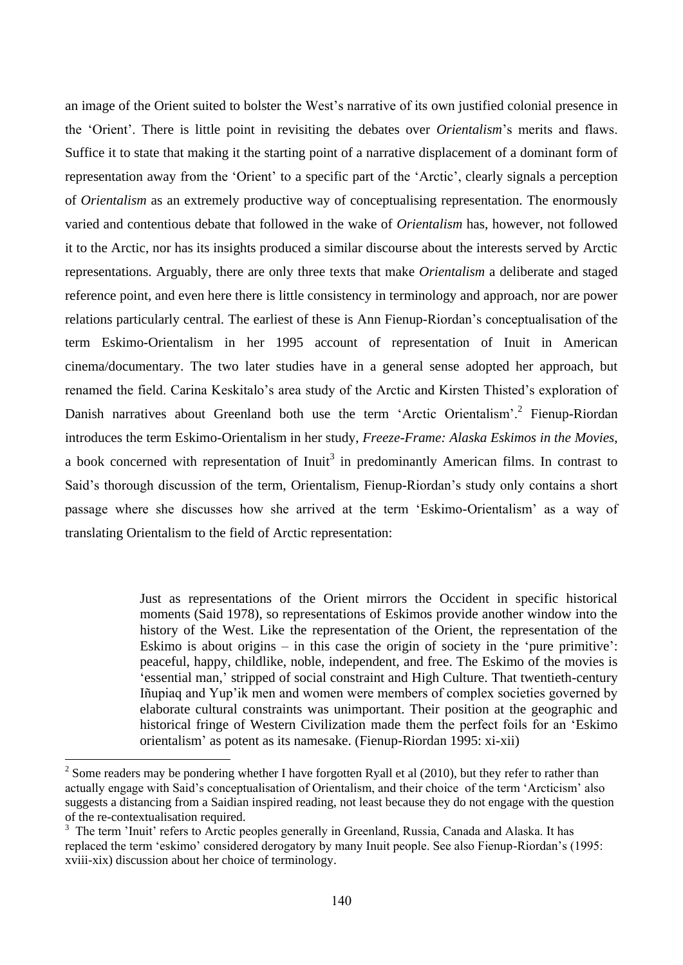an image of the Orient suited to bolster the West's narrative of its own justified colonial presence in the 'Orient'. There is little point in revisiting the debates over *Orientalism*'s merits and flaws. Suffice it to state that making it the starting point of a narrative displacement of a dominant form of representation away from the 'Orient' to a specific part of the 'Arctic', clearly signals a perception of *Orientalism* as an extremely productive way of conceptualising representation. The enormously varied and contentious debate that followed in the wake of *Orientalism* has, however, not followed it to the Arctic, nor has its insights produced a similar discourse about the interests served by Arctic representations. Arguably, there are only three texts that make *Orientalism* a deliberate and staged reference point, and even here there is little consistency in terminology and approach, nor are power relations particularly central. The earliest of these is Ann Fienup-Riordan's conceptualisation of the term Eskimo-Orientalism in her 1995 account of representation of Inuit in American cinema/documentary. The two later studies have in a general sense adopted her approach, but renamed the field. Carina Keskitalo's area study of the Arctic and Kirsten Thisted's exploration of Danish narratives about Greenland both use the term 'Arctic Orientalism'.<sup>2</sup> Fienup-Riordan introduces the term Eskimo-Orientalism in her study, *Freeze-Frame: Alaska Eskimos in the Movies*, a book concerned with representation of  $Inuit<sup>3</sup>$  in predominantly American films. In contrast to Said's thorough discussion of the term, Orientalism, Fienup-Riordan's study only contains a short passage where she discusses how she arrived at the term 'Eskimo-Orientalism' as a way of translating Orientalism to the field of Arctic representation:

> Just as representations of the Orient mirrors the Occident in specific historical moments (Said 1978), so representations of Eskimos provide another window into the history of the West. Like the representation of the Orient, the representation of the Eskimo is about origins – in this case the origin of society in the 'pure primitive': peaceful, happy, childlike, noble, independent, and free. The Eskimo of the movies is 'essential man,' stripped of social constraint and High Culture. That twentieth-century Iñupiaq and Yup'ik men and women were members of complex societies governed by elaborate cultural constraints was unimportant. Their position at the geographic and historical fringe of Western Civilization made them the perfect foils for an 'Eskimo orientalism' as potent as its namesake. (Fienup-Riordan 1995: xi-xii)

<sup>&</sup>lt;sup>2</sup> Some readers may be pondering whether I have forgotten Ryall et al (2010), but they refer to rather than actually engage with Said's conceptualisation of Orientalism, and their choice of the term 'Arcticism' also suggests a distancing from a Saidian inspired reading, not least because they do not engage with the question of the re-contextualisation required.

<sup>&</sup>lt;sup>3</sup> The term 'Inuit' refers to Arctic peoples generally in Greenland, Russia, Canada and Alaska. It has replaced the term 'eskimo' considered derogatory by many Inuit people. See also Fienup-Riordan's (1995: xviii-xix) discussion about her choice of terminology.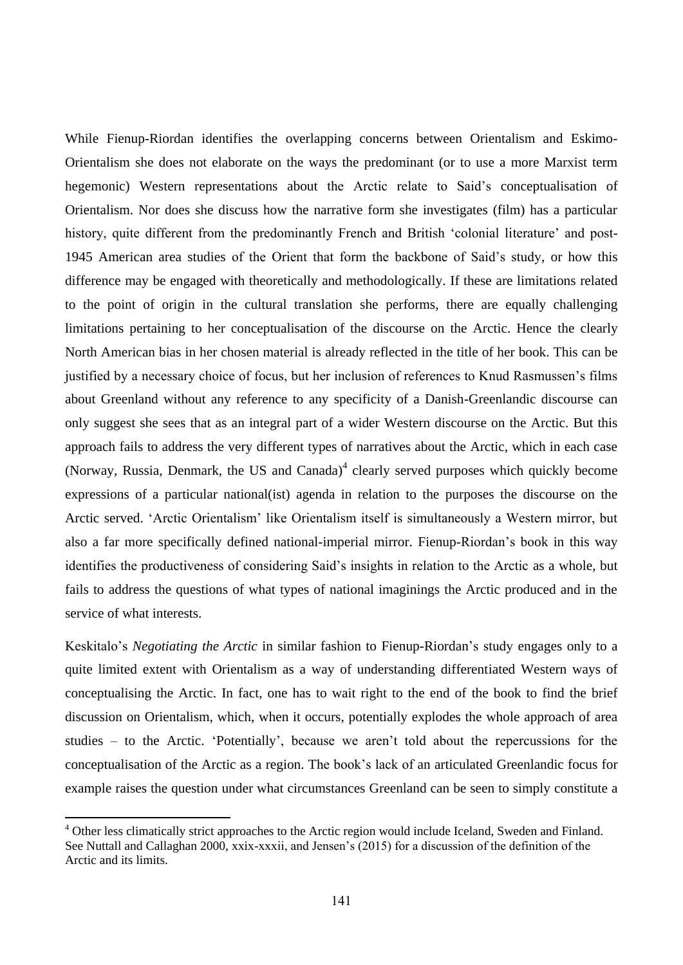While Fienup-Riordan identifies the overlapping concerns between Orientalism and Eskimo-Orientalism she does not elaborate on the ways the predominant (or to use a more Marxist term hegemonic) Western representations about the Arctic relate to Said's conceptualisation of Orientalism. Nor does she discuss how the narrative form she investigates (film) has a particular history, quite different from the predominantly French and British 'colonial literature' and post-1945 American area studies of the Orient that form the backbone of Said's study, or how this difference may be engaged with theoretically and methodologically. If these are limitations related to the point of origin in the cultural translation she performs, there are equally challenging limitations pertaining to her conceptualisation of the discourse on the Arctic. Hence the clearly North American bias in her chosen material is already reflected in the title of her book. This can be justified by a necessary choice of focus, but her inclusion of references to Knud Rasmussen's films about Greenland without any reference to any specificity of a Danish-Greenlandic discourse can only suggest she sees that as an integral part of a wider Western discourse on the Arctic. But this approach fails to address the very different types of narratives about the Arctic, which in each case (Norway, Russia, Denmark, the US and  $Canada)^4$  clearly served purposes which quickly become expressions of a particular national(ist) agenda in relation to the purposes the discourse on the Arctic served. 'Arctic Orientalism' like Orientalism itself is simultaneously a Western mirror, but also a far more specifically defined national-imperial mirror. Fienup-Riordan's book in this way identifies the productiveness of considering Said's insights in relation to the Arctic as a whole, but fails to address the questions of what types of national imaginings the Arctic produced and in the service of what interests.

Keskitalo's *Negotiating the Arctic* in similar fashion to Fienup-Riordan's study engages only to a quite limited extent with Orientalism as a way of understanding differentiated Western ways of conceptualising the Arctic. In fact, one has to wait right to the end of the book to find the brief discussion on Orientalism, which, when it occurs, potentially explodes the whole approach of area studies – to the Arctic. 'Potentially', because we aren't told about the repercussions for the conceptualisation of the Arctic as a region. The book's lack of an articulated Greenlandic focus for example raises the question under what circumstances Greenland can be seen to simply constitute a

<sup>&</sup>lt;sup>4</sup> Other less climatically strict approaches to the Arctic region would include Iceland, Sweden and Finland. See Nuttall and Callaghan 2000, xxix-xxxii, and Jensen's (2015) for a discussion of the definition of the Arctic and its limits.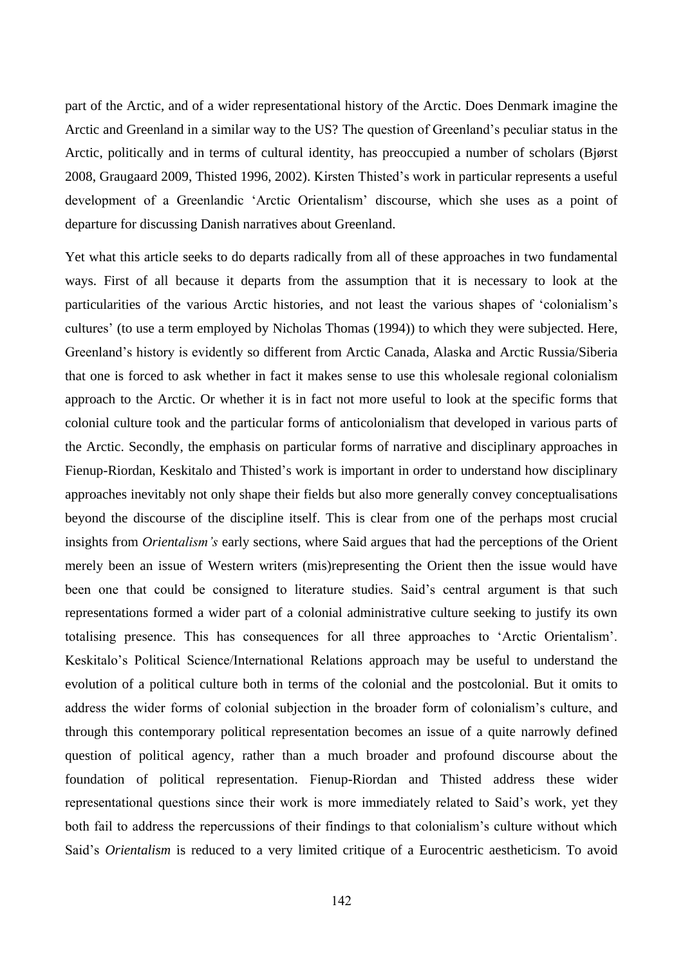part of the Arctic, and of a wider representational history of the Arctic. Does Denmark imagine the Arctic and Greenland in a similar way to the US? The question of Greenland's peculiar status in the Arctic, politically and in terms of cultural identity, has preoccupied a number of scholars (Bjørst 2008, Graugaard 2009, Thisted 1996, 2002). Kirsten Thisted's work in particular represents a useful development of a Greenlandic 'Arctic Orientalism' discourse, which she uses as a point of departure for discussing Danish narratives about Greenland.

Yet what this article seeks to do departs radically from all of these approaches in two fundamental ways. First of all because it departs from the assumption that it is necessary to look at the particularities of the various Arctic histories, and not least the various shapes of 'colonialism's cultures' (to use a term employed by Nicholas Thomas (1994)) to which they were subjected. Here, Greenland's history is evidently so different from Arctic Canada, Alaska and Arctic Russia/Siberia that one is forced to ask whether in fact it makes sense to use this wholesale regional colonialism approach to the Arctic. Or whether it is in fact not more useful to look at the specific forms that colonial culture took and the particular forms of anticolonialism that developed in various parts of the Arctic. Secondly, the emphasis on particular forms of narrative and disciplinary approaches in Fienup-Riordan, Keskitalo and Thisted's work is important in order to understand how disciplinary approaches inevitably not only shape their fields but also more generally convey conceptualisations beyond the discourse of the discipline itself. This is clear from one of the perhaps most crucial insights from *Orientalism's* early sections, where Said argues that had the perceptions of the Orient merely been an issue of Western writers (mis)representing the Orient then the issue would have been one that could be consigned to literature studies. Said's central argument is that such representations formed a wider part of a colonial administrative culture seeking to justify its own totalising presence. This has consequences for all three approaches to 'Arctic Orientalism'. Keskitalo's Political Science/International Relations approach may be useful to understand the evolution of a political culture both in terms of the colonial and the postcolonial. But it omits to address the wider forms of colonial subjection in the broader form of colonialism's culture, and through this contemporary political representation becomes an issue of a quite narrowly defined question of political agency, rather than a much broader and profound discourse about the foundation of political representation. Fienup-Riordan and Thisted address these wider representational questions since their work is more immediately related to Said's work, yet they both fail to address the repercussions of their findings to that colonialism's culture without which Said's *Orientalism* is reduced to a very limited critique of a Eurocentric aestheticism. To avoid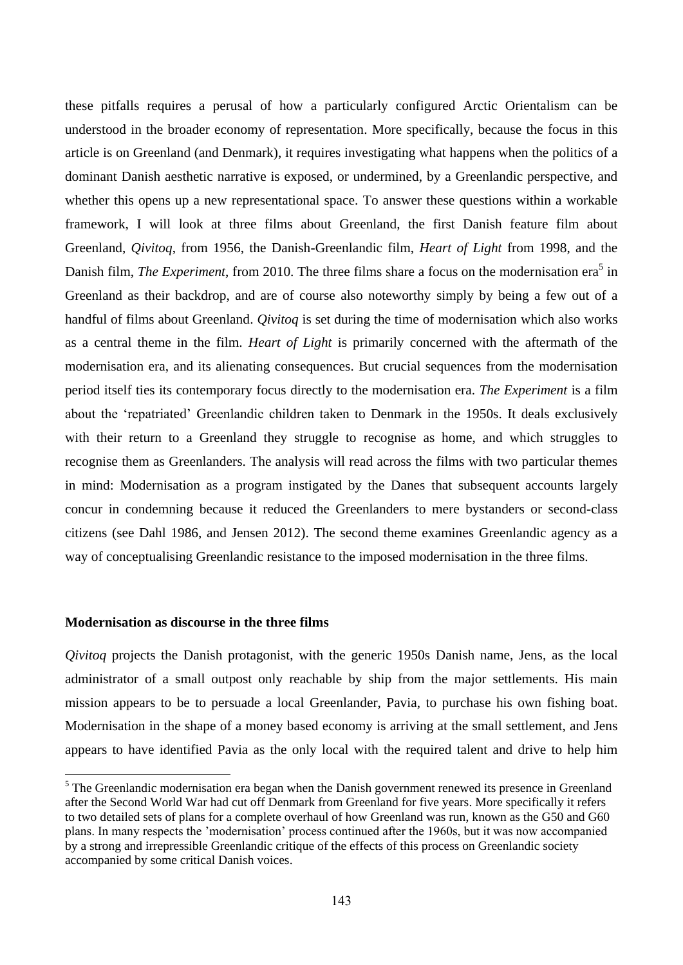these pitfalls requires a perusal of how a particularly configured Arctic Orientalism can be understood in the broader economy of representation. More specifically, because the focus in this article is on Greenland (and Denmark), it requires investigating what happens when the politics of a dominant Danish aesthetic narrative is exposed, or undermined, by a Greenlandic perspective, and whether this opens up a new representational space. To answer these questions within a workable framework, I will look at three films about Greenland, the first Danish feature film about Greenland, *Qivitoq*, from 1956, the Danish-Greenlandic film, *Heart of Light* from 1998, and the Danish film, *The Experiment*, from 2010. The three films share a focus on the modernisation era<sup>5</sup> in Greenland as their backdrop, and are of course also noteworthy simply by being a few out of a handful of films about Greenland. *Qivitoq* is set during the time of modernisation which also works as a central theme in the film. *Heart of Light* is primarily concerned with the aftermath of the modernisation era, and its alienating consequences. But crucial sequences from the modernisation period itself ties its contemporary focus directly to the modernisation era. *The Experiment* is a film about the 'repatriated' Greenlandic children taken to Denmark in the 1950s. It deals exclusively with their return to a Greenland they struggle to recognise as home, and which struggles to recognise them as Greenlanders. The analysis will read across the films with two particular themes in mind: Modernisation as a program instigated by the Danes that subsequent accounts largely concur in condemning because it reduced the Greenlanders to mere bystanders or second-class citizens (see Dahl 1986, and Jensen 2012). The second theme examines Greenlandic agency as a way of conceptualising Greenlandic resistance to the imposed modernisation in the three films.

#### **Modernisation as discourse in the three films**

 $\overline{a}$ 

*Qivitoq* projects the Danish protagonist, with the generic 1950s Danish name, Jens, as the local administrator of a small outpost only reachable by ship from the major settlements. His main mission appears to be to persuade a local Greenlander, Pavia, to purchase his own fishing boat. Modernisation in the shape of a money based economy is arriving at the small settlement, and Jens appears to have identified Pavia as the only local with the required talent and drive to help him

<sup>&</sup>lt;sup>5</sup> The Greenlandic modernisation era began when the Danish government renewed its presence in Greenland after the Second World War had cut off Denmark from Greenland for five years. More specifically it refers to two detailed sets of plans for a complete overhaul of how Greenland was run, known as the G50 and G60 plans. In many respects the 'modernisation' process continued after the 1960s, but it was now accompanied by a strong and irrepressible Greenlandic critique of the effects of this process on Greenlandic society accompanied by some critical Danish voices.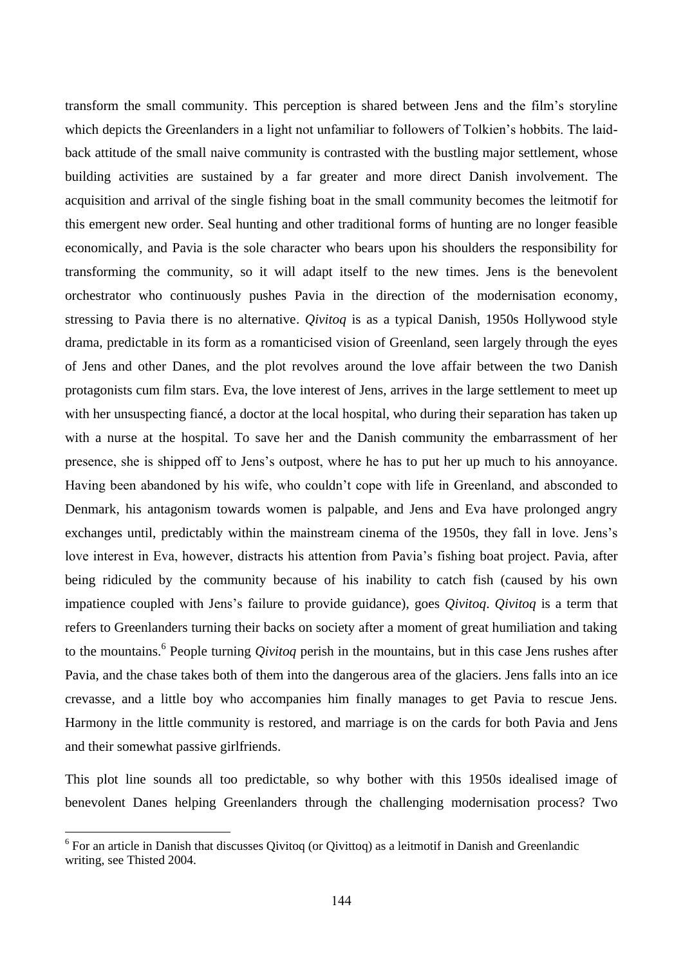transform the small community. This perception is shared between Jens and the film's storyline which depicts the Greenlanders in a light not unfamiliar to followers of Tolkien's hobbits. The laidback attitude of the small naive community is contrasted with the bustling major settlement, whose building activities are sustained by a far greater and more direct Danish involvement. The acquisition and arrival of the single fishing boat in the small community becomes the leitmotif for this emergent new order. Seal hunting and other traditional forms of hunting are no longer feasible economically, and Pavia is the sole character who bears upon his shoulders the responsibility for transforming the community, so it will adapt itself to the new times. Jens is the benevolent orchestrator who continuously pushes Pavia in the direction of the modernisation economy, stressing to Pavia there is no alternative. *Qivitoq* is as a typical Danish, 1950s Hollywood style drama, predictable in its form as a romanticised vision of Greenland, seen largely through the eyes of Jens and other Danes, and the plot revolves around the love affair between the two Danish protagonists cum film stars. Eva, the love interest of Jens, arrives in the large settlement to meet up with her unsuspecting fiancé, a doctor at the local hospital, who during their separation has taken up with a nurse at the hospital. To save her and the Danish community the embarrassment of her presence, she is shipped off to Jens's outpost, where he has to put her up much to his annoyance. Having been abandoned by his wife, who couldn't cope with life in Greenland, and absconded to Denmark, his antagonism towards women is palpable, and Jens and Eva have prolonged angry exchanges until, predictably within the mainstream cinema of the 1950s, they fall in love. Jens's love interest in Eva, however, distracts his attention from Pavia's fishing boat project. Pavia, after being ridiculed by the community because of his inability to catch fish (caused by his own impatience coupled with Jens's failure to provide guidance), goes *Qivitoq*. *Qivitoq* is a term that refers to Greenlanders turning their backs on society after a moment of great humiliation and taking to the mountains.<sup>6</sup> People turning *Qivitoq* perish in the mountains, but in this case Jens rushes after Pavia, and the chase takes both of them into the dangerous area of the glaciers. Jens falls into an ice crevasse, and a little boy who accompanies him finally manages to get Pavia to rescue Jens. Harmony in the little community is restored, and marriage is on the cards for both Pavia and Jens and their somewhat passive girlfriends.

This plot line sounds all too predictable, so why bother with this 1950s idealised image of benevolent Danes helping Greenlanders through the challenging modernisation process? Two

<sup>&</sup>lt;sup>6</sup> For an article in Danish that discusses Qivitoq (or Qivittoq) as a leitmotif in Danish and Greenlandic writing, see Thisted 2004.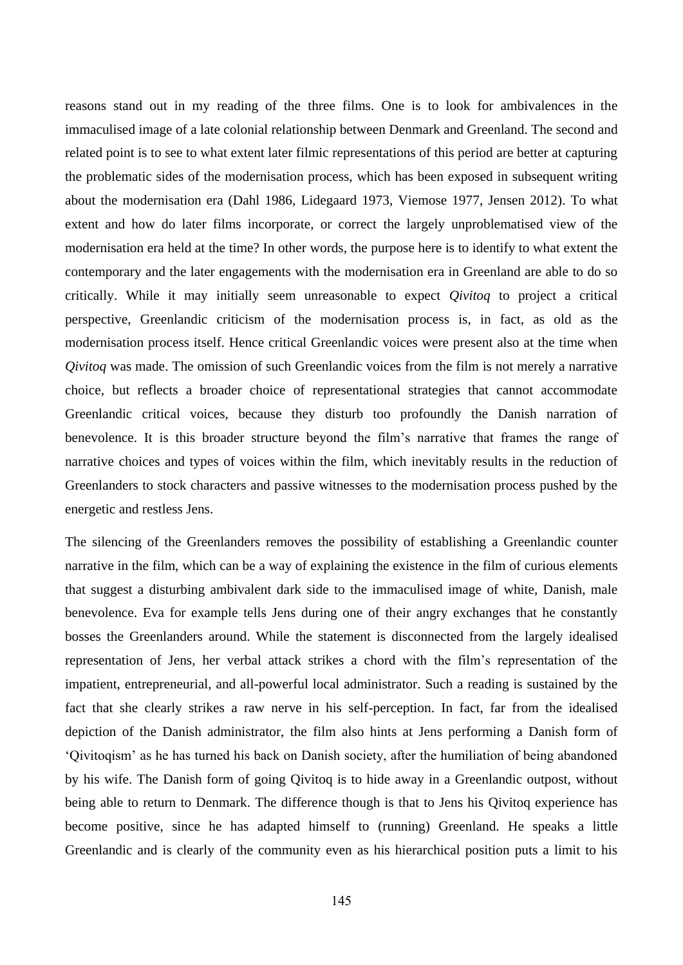reasons stand out in my reading of the three films. One is to look for ambivalences in the immaculised image of a late colonial relationship between Denmark and Greenland. The second and related point is to see to what extent later filmic representations of this period are better at capturing the problematic sides of the modernisation process, which has been exposed in subsequent writing about the modernisation era (Dahl 1986, Lidegaard 1973, Viemose 1977, Jensen 2012). To what extent and how do later films incorporate, or correct the largely unproblematised view of the modernisation era held at the time? In other words, the purpose here is to identify to what extent the contemporary and the later engagements with the modernisation era in Greenland are able to do so critically. While it may initially seem unreasonable to expect *Qivitoq* to project a critical perspective, Greenlandic criticism of the modernisation process is, in fact, as old as the modernisation process itself. Hence critical Greenlandic voices were present also at the time when *Qivitoq* was made. The omission of such Greenlandic voices from the film is not merely a narrative choice, but reflects a broader choice of representational strategies that cannot accommodate Greenlandic critical voices, because they disturb too profoundly the Danish narration of benevolence. It is this broader structure beyond the film's narrative that frames the range of narrative choices and types of voices within the film, which inevitably results in the reduction of Greenlanders to stock characters and passive witnesses to the modernisation process pushed by the energetic and restless Jens.

The silencing of the Greenlanders removes the possibility of establishing a Greenlandic counter narrative in the film, which can be a way of explaining the existence in the film of curious elements that suggest a disturbing ambivalent dark side to the immaculised image of white, Danish, male benevolence. Eva for example tells Jens during one of their angry exchanges that he constantly bosses the Greenlanders around. While the statement is disconnected from the largely idealised representation of Jens, her verbal attack strikes a chord with the film's representation of the impatient, entrepreneurial, and all-powerful local administrator. Such a reading is sustained by the fact that she clearly strikes a raw nerve in his self-perception. In fact, far from the idealised depiction of the Danish administrator, the film also hints at Jens performing a Danish form of 'Qivitoqism' as he has turned his back on Danish society, after the humiliation of being abandoned by his wife. The Danish form of going Qivitoq is to hide away in a Greenlandic outpost, without being able to return to Denmark. The difference though is that to Jens his Qivitoq experience has become positive, since he has adapted himself to (running) Greenland. He speaks a little Greenlandic and is clearly of the community even as his hierarchical position puts a limit to his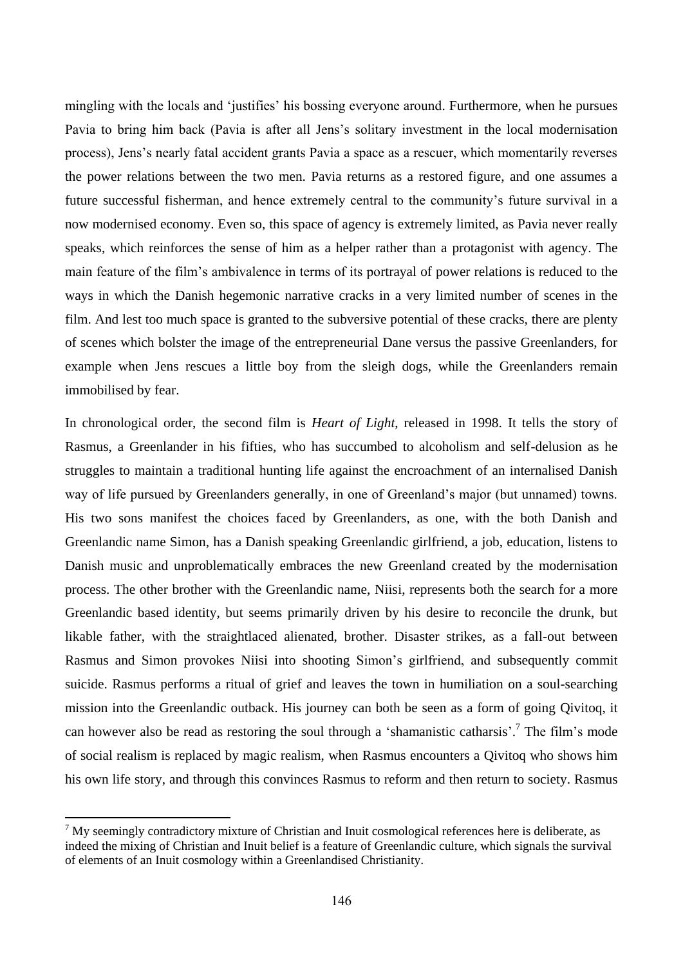mingling with the locals and 'justifies' his bossing everyone around. Furthermore, when he pursues Pavia to bring him back (Pavia is after all Jens's solitary investment in the local modernisation process), Jens's nearly fatal accident grants Pavia a space as a rescuer, which momentarily reverses the power relations between the two men. Pavia returns as a restored figure, and one assumes a future successful fisherman, and hence extremely central to the community's future survival in a now modernised economy. Even so, this space of agency is extremely limited, as Pavia never really speaks, which reinforces the sense of him as a helper rather than a protagonist with agency. The main feature of the film's ambivalence in terms of its portrayal of power relations is reduced to the ways in which the Danish hegemonic narrative cracks in a very limited number of scenes in the film. And lest too much space is granted to the subversive potential of these cracks, there are plenty of scenes which bolster the image of the entrepreneurial Dane versus the passive Greenlanders, for example when Jens rescues a little boy from the sleigh dogs, while the Greenlanders remain immobilised by fear.

In chronological order, the second film is *Heart of Light*, released in 1998. It tells the story of Rasmus, a Greenlander in his fifties, who has succumbed to alcoholism and self-delusion as he struggles to maintain a traditional hunting life against the encroachment of an internalised Danish way of life pursued by Greenlanders generally, in one of Greenland's major (but unnamed) towns. His two sons manifest the choices faced by Greenlanders, as one, with the both Danish and Greenlandic name Simon, has a Danish speaking Greenlandic girlfriend, a job, education, listens to Danish music and unproblematically embraces the new Greenland created by the modernisation process. The other brother with the Greenlandic name, Niisi, represents both the search for a more Greenlandic based identity, but seems primarily driven by his desire to reconcile the drunk, but likable father, with the straightlaced alienated, brother. Disaster strikes, as a fall-out between Rasmus and Simon provokes Niisi into shooting Simon's girlfriend, and subsequently commit suicide. Rasmus performs a ritual of grief and leaves the town in humiliation on a soul-searching mission into the Greenlandic outback. His journey can both be seen as a form of going Qivitoq, it can however also be read as restoring the soul through a 'shamanistic catharsis'.<sup>7</sup> The film's mode of social realism is replaced by magic realism, when Rasmus encounters a Qivitoq who shows him his own life story, and through this convinces Rasmus to reform and then return to society. Rasmus

 $<sup>7</sup>$  My seemingly contradictory mixture of Christian and Inuit cosmological references here is deliberate, as</sup> indeed the mixing of Christian and Inuit belief is a feature of Greenlandic culture, which signals the survival of elements of an Inuit cosmology within a Greenlandised Christianity.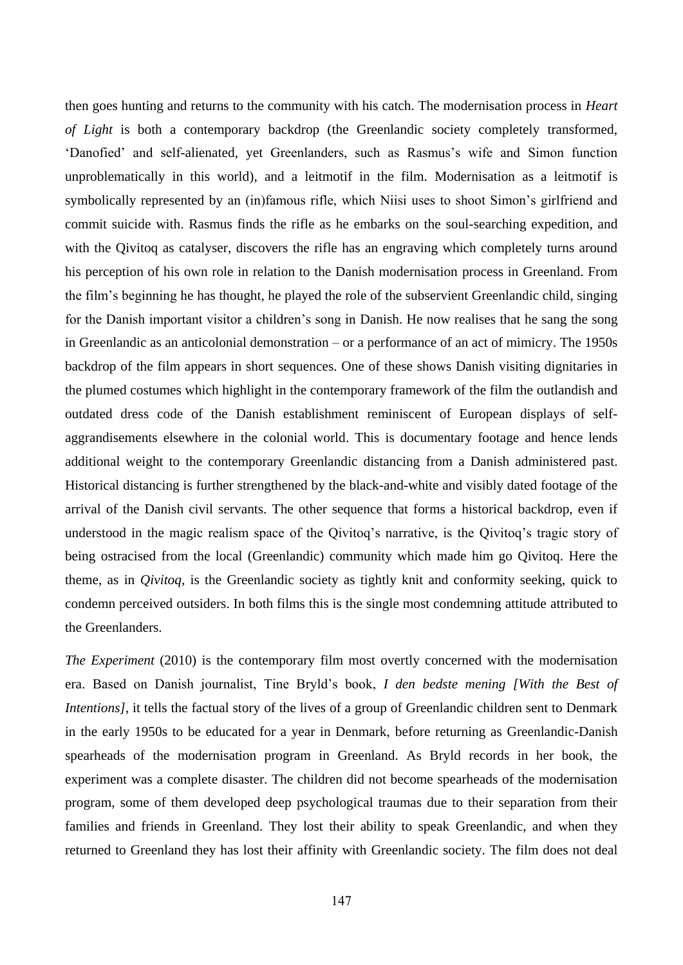then goes hunting and returns to the community with his catch. The modernisation process in *Heart of Light* is both a contemporary backdrop (the Greenlandic society completely transformed, 'Danofied' and self-alienated, yet Greenlanders, such as Rasmus's wife and Simon function unproblematically in this world), and a leitmotif in the film. Modernisation as a leitmotif is symbolically represented by an (in)famous rifle, which Niisi uses to shoot Simon's girlfriend and commit suicide with. Rasmus finds the rifle as he embarks on the soul-searching expedition, and with the Qivitoq as catalyser, discovers the rifle has an engraving which completely turns around his perception of his own role in relation to the Danish modernisation process in Greenland. From the film's beginning he has thought, he played the role of the subservient Greenlandic child, singing for the Danish important visitor a children's song in Danish. He now realises that he sang the song in Greenlandic as an anticolonial demonstration – or a performance of an act of mimicry. The 1950s backdrop of the film appears in short sequences. One of these shows Danish visiting dignitaries in the plumed costumes which highlight in the contemporary framework of the film the outlandish and outdated dress code of the Danish establishment reminiscent of European displays of selfaggrandisements elsewhere in the colonial world. This is documentary footage and hence lends additional weight to the contemporary Greenlandic distancing from a Danish administered past. Historical distancing is further strengthened by the black-and-white and visibly dated footage of the arrival of the Danish civil servants. The other sequence that forms a historical backdrop, even if understood in the magic realism space of the Qivitoq's narrative, is the Qivitoq's tragic story of being ostracised from the local (Greenlandic) community which made him go Qivitoq. Here the theme, as in *Qivitoq,* is the Greenlandic society as tightly knit and conformity seeking, quick to condemn perceived outsiders. In both films this is the single most condemning attitude attributed to the Greenlanders.

*The Experiment* (2010) is the contemporary film most overtly concerned with the modernisation era. Based on Danish journalist, Tine Bryld's book, *I den bedste mening [With the Best of Intentions]*, it tells the factual story of the lives of a group of Greenlandic children sent to Denmark in the early 1950s to be educated for a year in Denmark, before returning as Greenlandic-Danish spearheads of the modernisation program in Greenland. As Bryld records in her book, the experiment was a complete disaster. The children did not become spearheads of the modernisation program, some of them developed deep psychological traumas due to their separation from their families and friends in Greenland. They lost their ability to speak Greenlandic, and when they returned to Greenland they has lost their affinity with Greenlandic society. The film does not deal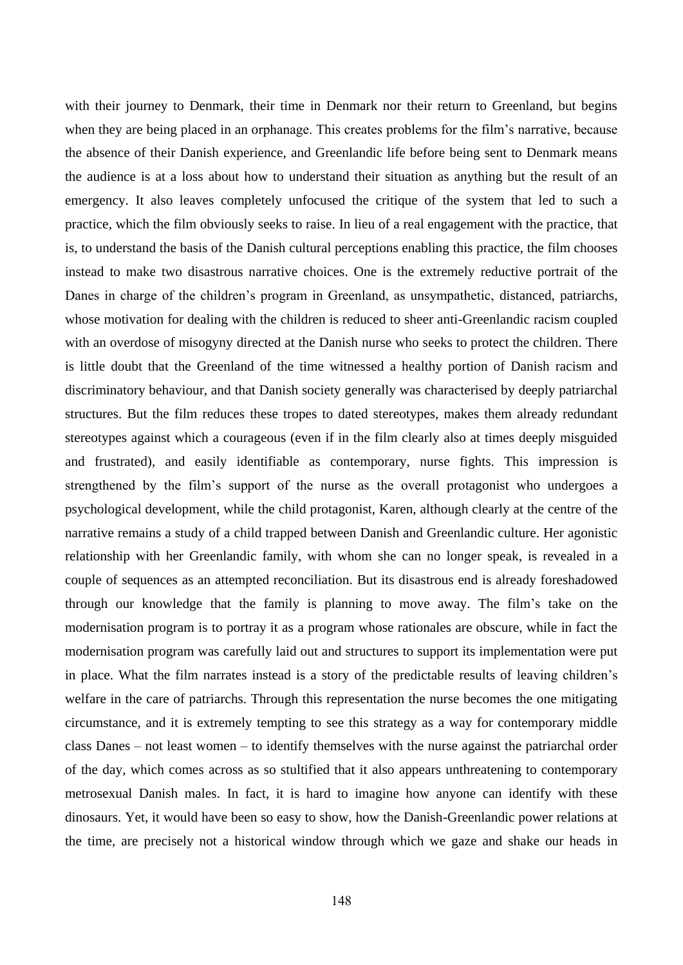with their journey to Denmark, their time in Denmark nor their return to Greenland, but begins when they are being placed in an orphanage. This creates problems for the film's narrative, because the absence of their Danish experience, and Greenlandic life before being sent to Denmark means the audience is at a loss about how to understand their situation as anything but the result of an emergency. It also leaves completely unfocused the critique of the system that led to such a practice, which the film obviously seeks to raise. In lieu of a real engagement with the practice, that is, to understand the basis of the Danish cultural perceptions enabling this practice, the film chooses instead to make two disastrous narrative choices. One is the extremely reductive portrait of the Danes in charge of the children's program in Greenland, as unsympathetic, distanced, patriarchs, whose motivation for dealing with the children is reduced to sheer anti-Greenlandic racism coupled with an overdose of misogyny directed at the Danish nurse who seeks to protect the children. There is little doubt that the Greenland of the time witnessed a healthy portion of Danish racism and discriminatory behaviour, and that Danish society generally was characterised by deeply patriarchal structures. But the film reduces these tropes to dated stereotypes, makes them already redundant stereotypes against which a courageous (even if in the film clearly also at times deeply misguided and frustrated), and easily identifiable as contemporary, nurse fights. This impression is strengthened by the film's support of the nurse as the overall protagonist who undergoes a psychological development, while the child protagonist, Karen, although clearly at the centre of the narrative remains a study of a child trapped between Danish and Greenlandic culture. Her agonistic relationship with her Greenlandic family, with whom she can no longer speak, is revealed in a couple of sequences as an attempted reconciliation. But its disastrous end is already foreshadowed through our knowledge that the family is planning to move away. The film's take on the modernisation program is to portray it as a program whose rationales are obscure, while in fact the modernisation program was carefully laid out and structures to support its implementation were put in place. What the film narrates instead is a story of the predictable results of leaving children's welfare in the care of patriarchs. Through this representation the nurse becomes the one mitigating circumstance, and it is extremely tempting to see this strategy as a way for contemporary middle class Danes – not least women – to identify themselves with the nurse against the patriarchal order of the day, which comes across as so stultified that it also appears unthreatening to contemporary metrosexual Danish males. In fact, it is hard to imagine how anyone can identify with these dinosaurs. Yet, it would have been so easy to show, how the Danish-Greenlandic power relations at the time, are precisely not a historical window through which we gaze and shake our heads in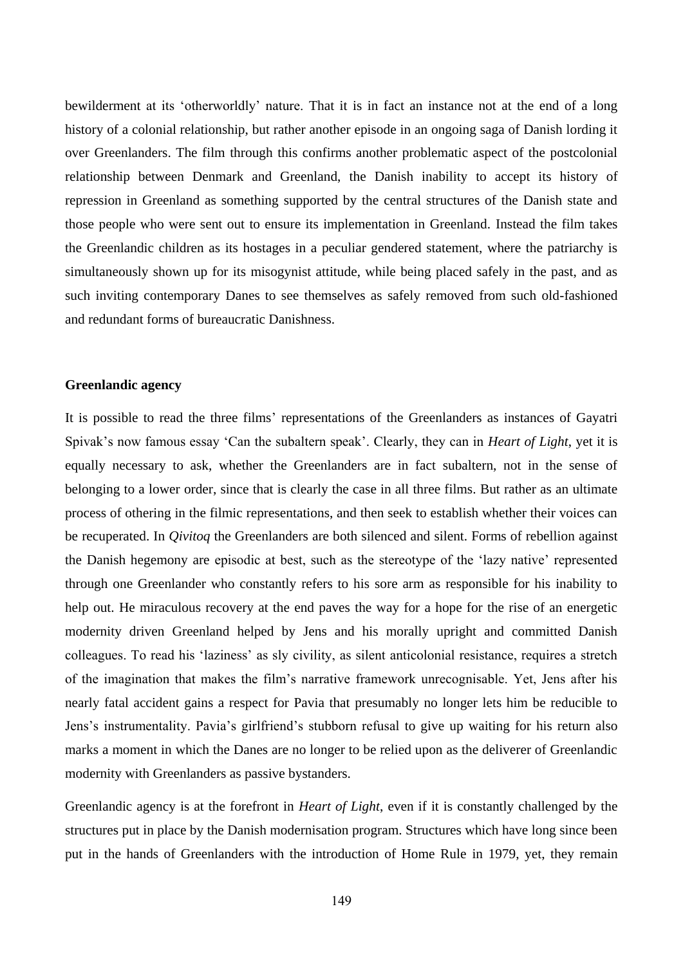bewilderment at its 'otherworldly' nature. That it is in fact an instance not at the end of a long history of a colonial relationship, but rather another episode in an ongoing saga of Danish lording it over Greenlanders. The film through this confirms another problematic aspect of the postcolonial relationship between Denmark and Greenland, the Danish inability to accept its history of repression in Greenland as something supported by the central structures of the Danish state and those people who were sent out to ensure its implementation in Greenland. Instead the film takes the Greenlandic children as its hostages in a peculiar gendered statement, where the patriarchy is simultaneously shown up for its misogynist attitude, while being placed safely in the past, and as such inviting contemporary Danes to see themselves as safely removed from such old-fashioned and redundant forms of bureaucratic Danishness.

#### **Greenlandic agency**

It is possible to read the three films' representations of the Greenlanders as instances of Gayatri Spivak's now famous essay 'Can the subaltern speak'. Clearly, they can in *Heart of Light*, yet it is equally necessary to ask, whether the Greenlanders are in fact subaltern, not in the sense of belonging to a lower order, since that is clearly the case in all three films. But rather as an ultimate process of othering in the filmic representations, and then seek to establish whether their voices can be recuperated. In *Qivitoq* the Greenlanders are both silenced and silent. Forms of rebellion against the Danish hegemony are episodic at best, such as the stereotype of the 'lazy native' represented through one Greenlander who constantly refers to his sore arm as responsible for his inability to help out. He miraculous recovery at the end paves the way for a hope for the rise of an energetic modernity driven Greenland helped by Jens and his morally upright and committed Danish colleagues. To read his 'laziness' as sly civility, as silent anticolonial resistance, requires a stretch of the imagination that makes the film's narrative framework unrecognisable. Yet, Jens after his nearly fatal accident gains a respect for Pavia that presumably no longer lets him be reducible to Jens's instrumentality. Pavia's girlfriend's stubborn refusal to give up waiting for his return also marks a moment in which the Danes are no longer to be relied upon as the deliverer of Greenlandic modernity with Greenlanders as passive bystanders.

Greenlandic agency is at the forefront in *Heart of Light*, even if it is constantly challenged by the structures put in place by the Danish modernisation program. Structures which have long since been put in the hands of Greenlanders with the introduction of Home Rule in 1979, yet, they remain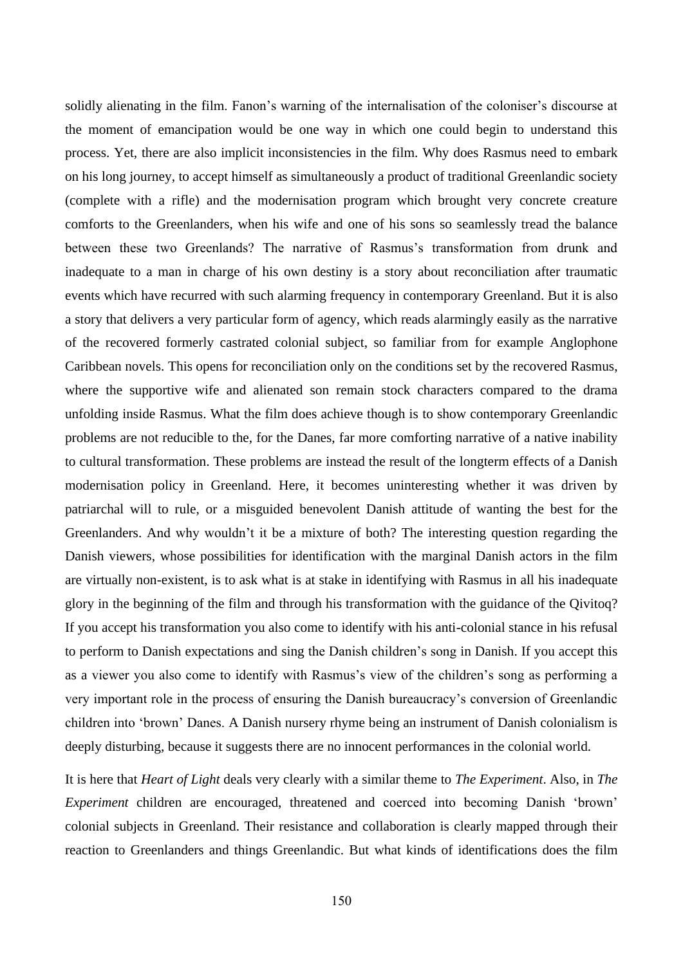solidly alienating in the film. Fanon's warning of the internalisation of the coloniser's discourse at the moment of emancipation would be one way in which one could begin to understand this process. Yet, there are also implicit inconsistencies in the film. Why does Rasmus need to embark on his long journey, to accept himself as simultaneously a product of traditional Greenlandic society (complete with a rifle) and the modernisation program which brought very concrete creature comforts to the Greenlanders, when his wife and one of his sons so seamlessly tread the balance between these two Greenlands? The narrative of Rasmus's transformation from drunk and inadequate to a man in charge of his own destiny is a story about reconciliation after traumatic events which have recurred with such alarming frequency in contemporary Greenland. But it is also a story that delivers a very particular form of agency, which reads alarmingly easily as the narrative of the recovered formerly castrated colonial subject, so familiar from for example Anglophone Caribbean novels. This opens for reconciliation only on the conditions set by the recovered Rasmus, where the supportive wife and alienated son remain stock characters compared to the drama unfolding inside Rasmus. What the film does achieve though is to show contemporary Greenlandic problems are not reducible to the, for the Danes, far more comforting narrative of a native inability to cultural transformation. These problems are instead the result of the longterm effects of a Danish modernisation policy in Greenland. Here, it becomes uninteresting whether it was driven by patriarchal will to rule, or a misguided benevolent Danish attitude of wanting the best for the Greenlanders. And why wouldn't it be a mixture of both? The interesting question regarding the Danish viewers, whose possibilities for identification with the marginal Danish actors in the film are virtually non-existent, is to ask what is at stake in identifying with Rasmus in all his inadequate glory in the beginning of the film and through his transformation with the guidance of the Qivitoq? If you accept his transformation you also come to identify with his anti-colonial stance in his refusal to perform to Danish expectations and sing the Danish children's song in Danish. If you accept this as a viewer you also come to identify with Rasmus's view of the children's song as performing a very important role in the process of ensuring the Danish bureaucracy's conversion of Greenlandic children into 'brown' Danes. A Danish nursery rhyme being an instrument of Danish colonialism is deeply disturbing, because it suggests there are no innocent performances in the colonial world.

It is here that *Heart of Light* deals very clearly with a similar theme to *The Experiment*. Also, in *The Experiment* children are encouraged, threatened and coerced into becoming Danish 'brown' colonial subjects in Greenland. Their resistance and collaboration is clearly mapped through their reaction to Greenlanders and things Greenlandic. But what kinds of identifications does the film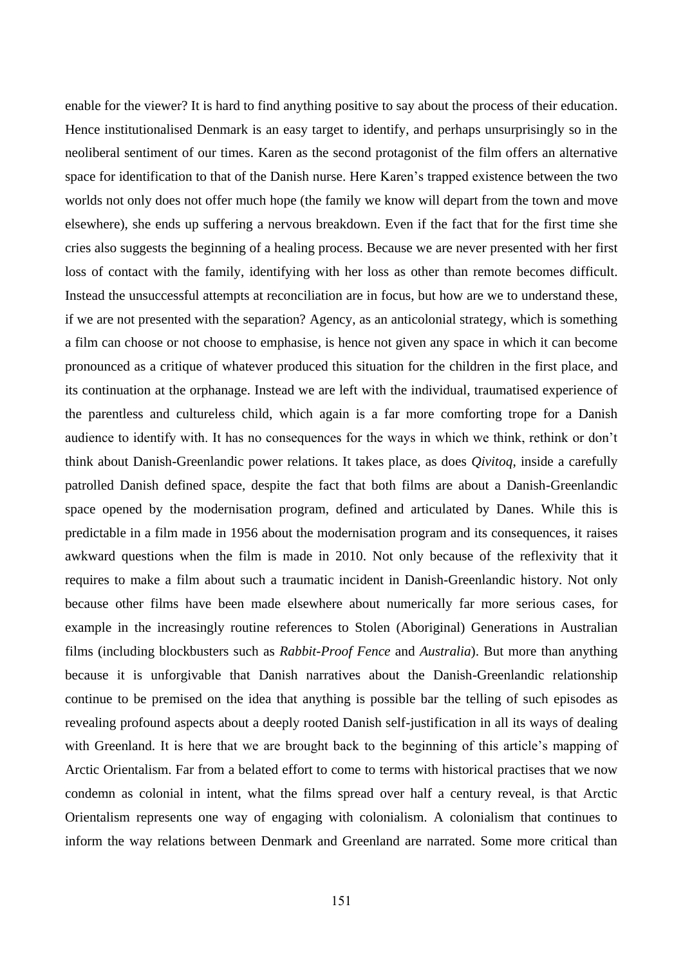enable for the viewer? It is hard to find anything positive to say about the process of their education. Hence institutionalised Denmark is an easy target to identify, and perhaps unsurprisingly so in the neoliberal sentiment of our times. Karen as the second protagonist of the film offers an alternative space for identification to that of the Danish nurse. Here Karen's trapped existence between the two worlds not only does not offer much hope (the family we know will depart from the town and move elsewhere), she ends up suffering a nervous breakdown. Even if the fact that for the first time she cries also suggests the beginning of a healing process. Because we are never presented with her first loss of contact with the family, identifying with her loss as other than remote becomes difficult. Instead the unsuccessful attempts at reconciliation are in focus, but how are we to understand these, if we are not presented with the separation? Agency, as an anticolonial strategy, which is something a film can choose or not choose to emphasise, is hence not given any space in which it can become pronounced as a critique of whatever produced this situation for the children in the first place, and its continuation at the orphanage. Instead we are left with the individual, traumatised experience of the parentless and cultureless child, which again is a far more comforting trope for a Danish audience to identify with. It has no consequences for the ways in which we think, rethink or don't think about Danish-Greenlandic power relations. It takes place, as does *Qivitoq*, inside a carefully patrolled Danish defined space, despite the fact that both films are about a Danish-Greenlandic space opened by the modernisation program, defined and articulated by Danes. While this is predictable in a film made in 1956 about the modernisation program and its consequences, it raises awkward questions when the film is made in 2010. Not only because of the reflexivity that it requires to make a film about such a traumatic incident in Danish-Greenlandic history. Not only because other films have been made elsewhere about numerically far more serious cases, for example in the increasingly routine references to Stolen (Aboriginal) Generations in Australian films (including blockbusters such as *Rabbit-Proof Fence* and *Australia*). But more than anything because it is unforgivable that Danish narratives about the Danish-Greenlandic relationship continue to be premised on the idea that anything is possible bar the telling of such episodes as revealing profound aspects about a deeply rooted Danish self-justification in all its ways of dealing with Greenland. It is here that we are brought back to the beginning of this article's mapping of Arctic Orientalism. Far from a belated effort to come to terms with historical practises that we now condemn as colonial in intent, what the films spread over half a century reveal, is that Arctic Orientalism represents one way of engaging with colonialism. A colonialism that continues to inform the way relations between Denmark and Greenland are narrated. Some more critical than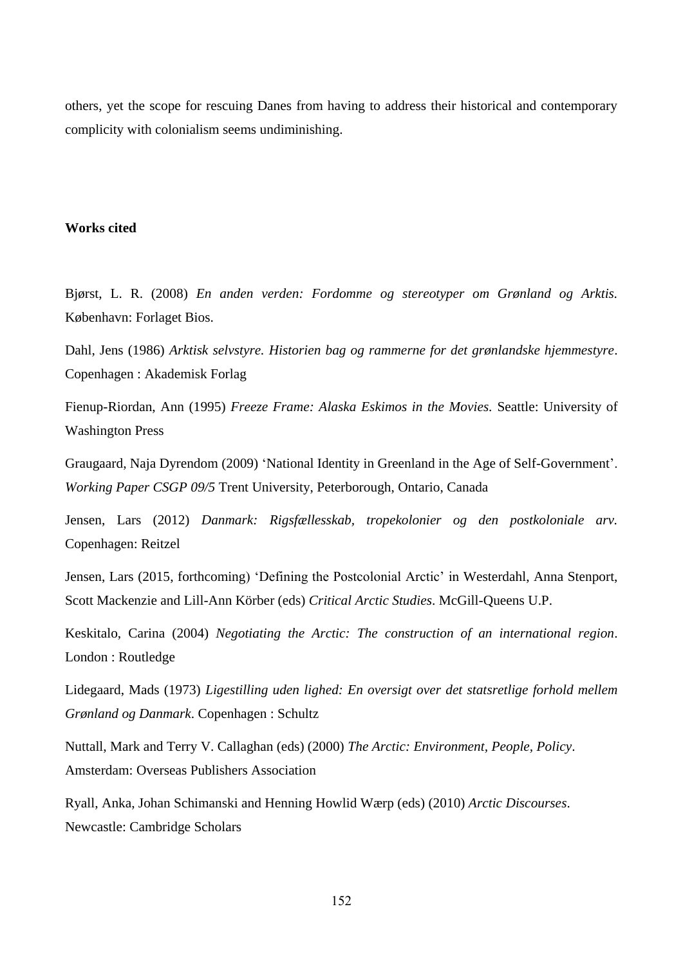others, yet the scope for rescuing Danes from having to address their historical and contemporary complicity with colonialism seems undiminishing.

#### **Works cited**

Bjørst, L. R. (2008) *En anden verden: Fordomme og stereotyper om Grønland og Arktis.*  København: Forlaget Bios.

Dahl, Jens (1986) *Arktisk selvstyre. Historien bag og rammerne for det grønlandske hjemmestyre*. Copenhagen : Akademisk Forlag

Fienup-Riordan, Ann (1995) *Freeze Frame: Alaska Eskimos in the Movies.* Seattle: University of Washington Press

Graugaard, Naja Dyrendom (2009) 'National Identity in Greenland in the Age of Self-Government'. *Working Paper CSGP 09/5* Trent University, Peterborough, Ontario, Canada

Jensen, Lars (2012) *Danmark: Rigsfællesskab, tropekolonier og den postkoloniale arv.* Copenhagen: Reitzel

Jensen, Lars (2015, forthcoming) 'Defining the Postcolonial Arctic' in Westerdahl, Anna Stenport, Scott Mackenzie and Lill-Ann Körber (eds) *Critical Arctic Studies*. McGill-Queens U.P.

Keskitalo, Carina (2004) *Negotiating the Arctic: The construction of an international region*. London : Routledge

Lidegaard, Mads (1973) *Ligestilling uden lighed: En oversigt over det statsretlige forhold mellem Grønland og Danmark*. Copenhagen : Schultz

Nuttall, Mark and Terry V. Callaghan (eds) (2000) *The Arctic: Environment, People, Policy*. Amsterdam: Overseas Publishers Association

Ryall, Anka, Johan Schimanski and Henning Howlid Wærp (eds) (2010) *Arctic Discourses*. Newcastle: Cambridge Scholars